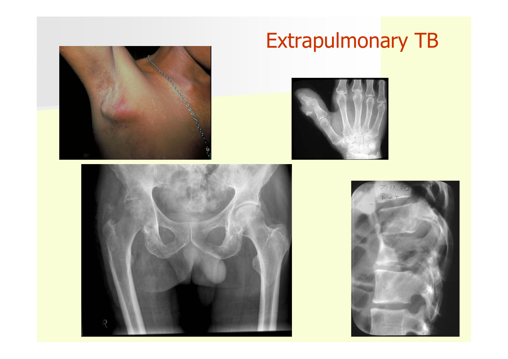

# Extrapulmonary TB





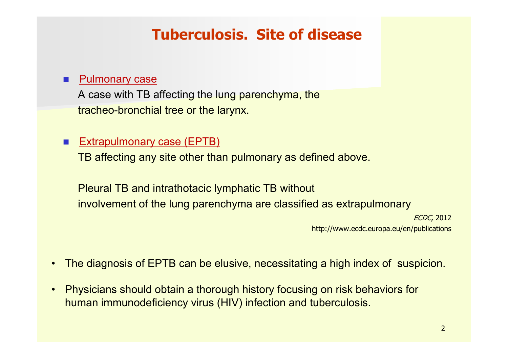## **Tuberculosis. Site of disease**

#### T Pulmonary case

A case with TB affecting the lung parenchyma, the tracheo-bronchial tree or the larynx.

#### **Extrapulmonary case (EPTB)**

TB affecting any site other than pulmonary as defined above.

Pleural TB and intrathotacic lymphatic TB without involvement of the lung parenchyma are classified as extrapulmonary

ECDC, 2012 http://www.ecdc.europa.eu/en/publications

- •The diagnosis of EPTB can be elusive, necessitating a high index of suspicion.
- $\bullet$  Physicians should obtain a thorough history focusing on risk behaviors for human immunodeficiency virus (HIV) infection and tuberculosis.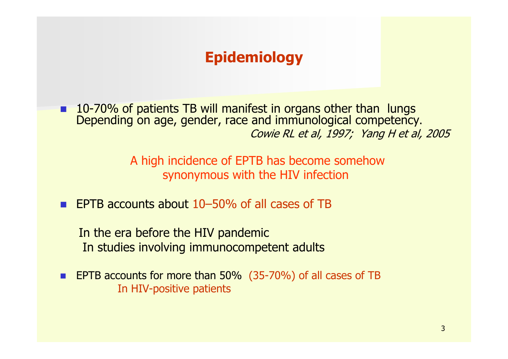# **Epidemiology**

 $\Box$  10-70% of patients TB will manifest in organs other than lungs Depending on age, gender, race and immunological competency. Cowie RL et al, 1997; Yang H et al, 2005

> A high incidence of EPTB has become somehow synonymous with the HIV infection

**EPTB accounts about 10–50% of all cases of TB** 

In the era before the HIV pandemic In studies involving immunocompetent adults

П **EPTB accounts for more than 50% (35-70%) of all cases of TB** In HIV-positive patients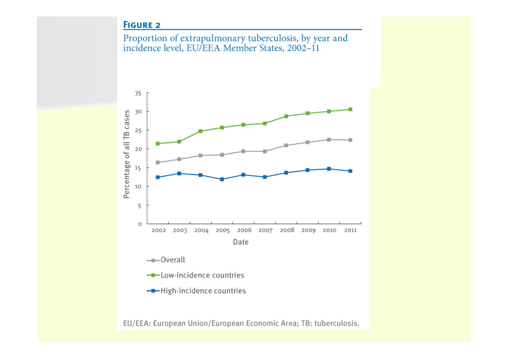#### **FIGURE 2**





EU/EEA: European Union/European Economic Area; TB: tuberculosis.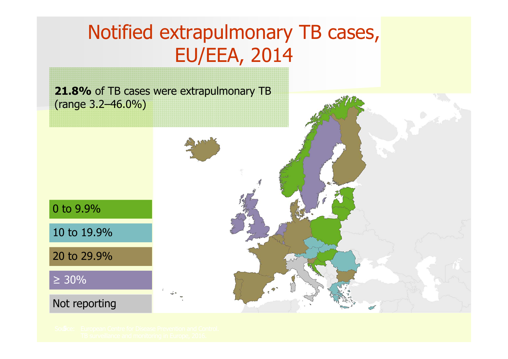# Notified extrapulmonary TB cases, EU/EEA, 2014

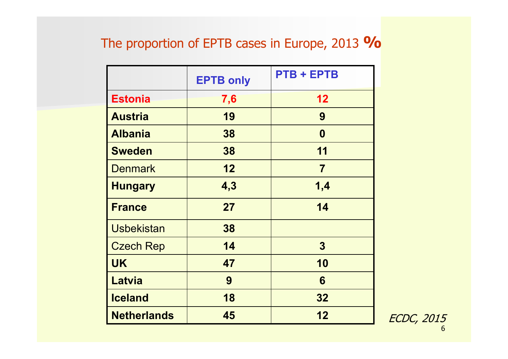### The proportion of EPTB cases in Europe, 2013 **%**

|                    | <b>EPTB only</b> | <b>PTB + EPTB</b> |  |
|--------------------|------------------|-------------------|--|
| <b>Estonia</b>     | 7,6              | 12                |  |
| <b>Austria</b>     | 19               | 9                 |  |
| <b>Albania</b>     | 38               | $\boldsymbol{0}$  |  |
| <b>Sweden</b>      | 38               | 11                |  |
| <b>Denmark</b>     | 12               | $\overline{7}$    |  |
| <b>Hungary</b>     | 4,3              | 1,4               |  |
| <b>France</b>      | 27               | 14                |  |
| <b>Usbekistan</b>  | 38               |                   |  |
| <b>Czech Rep</b>   | 14               | $\mathbf{3}$      |  |
| <b>UK</b>          | 47               | 10                |  |
| <b>Latvia</b>      | 9                | 6                 |  |
| <b>Iceland</b>     | 18               | 32                |  |
| <b>Netherlands</b> | 45               | 12                |  |

6ECDC, 2015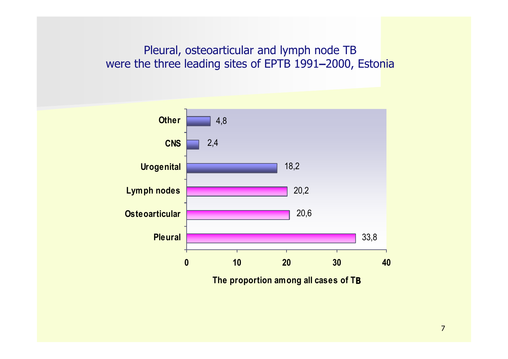Pleural, osteoarticular and lymph node TB were the three leading sites of EPTB 1991 **–**2000, Estonia



**The proportion among all cases of T B**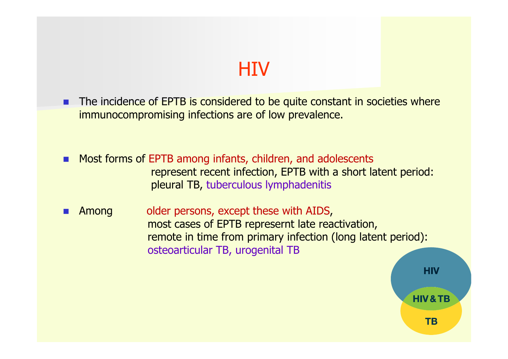# **HIV**

- **The incidence of EPTB is considered to be quite constant in societies where** immunocompromising infections are of low prevalence.
- **Most forms of EPTB among infants, children, and adolescents** represent recent infection, EPTB with a short latent period: pleural TB, tuberculous lymphadenitis
- П Among older persons, except these with AIDS, most cases of EPTB represernt late reactivation, remote in time from primary infection (long latent period): osteoarticular TB, urogenital TB

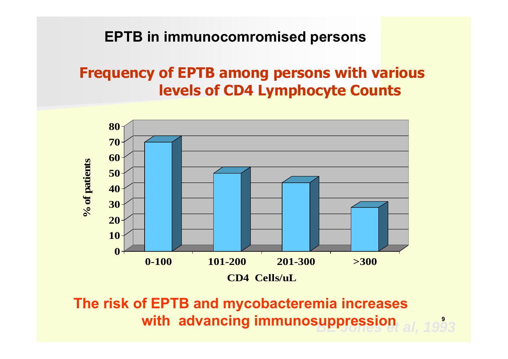### **EPTB in immunocomromised persons**

## **Frequency of EPTB among persons with various levels of CD4 Lymphocyte Counts**



*BE Jones et al, 1993* **The risk of EPTB and mycobacteremia increases with advancing immunosuppression**

**9**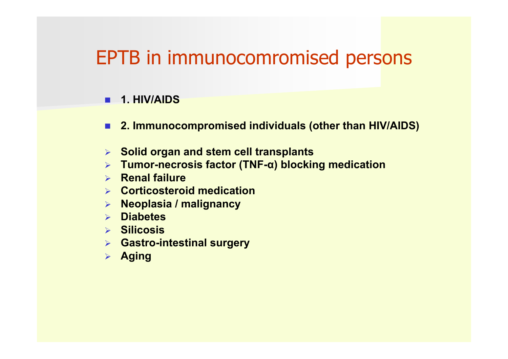# EPTB in immunocomromised persons

#### **1. HIV/AIDS**

- **2. Immunocompromised individuals (other than HIV/AIDS)**
- **Solid organ and stem cell transplants**
- **Tumor-necrosis factor (TNF-<sup>α</sup>) blocking medication**
- **Renal failure**
- **Corticosteroid medication**
- **Neoplasia / malignancy**
- **Diabetes**
- **Silicosis**
- **Gastro-intestinal surgery**
- **Aging**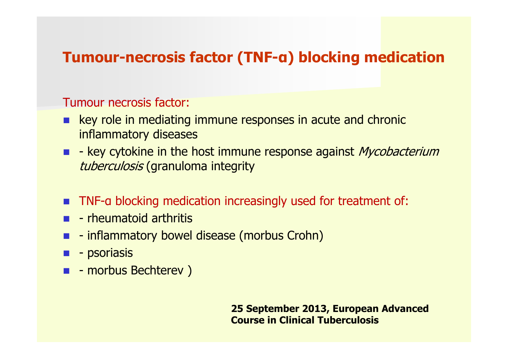## **Tumour-necrosis factor (TNF-<sup>α</sup>) blocking medication**

### Tumour necrosis factor:

- **E.** key role in mediating immune responses in acute and chronic inflammatory diseases
- **-** external extricts in the host immune response against *Mycobacterium* tuberculosis (granuloma integrity
- **TNF-a blocking medication increasingly used for treatment of:**
- **-** rheumatoid arthritis
- **E** inflammatory bowel disease (morbus Crohn)
- $\blacksquare$  psoriasis
- **E** morbus Bechterev )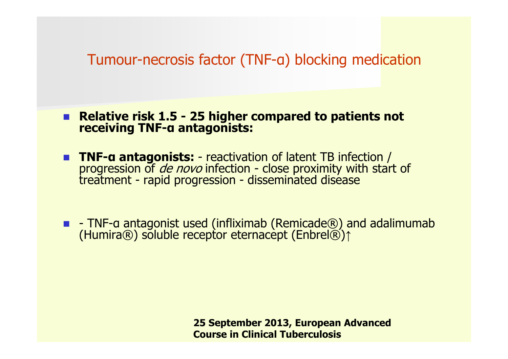### Tumour-necrosis factor (TNF-<sup>α</sup>) blocking medication

 **Relative risk 1.5 - 25 higher compared to patients not receiving TNFα antagonists:** 

- **TNF-α**progression of *de novo* infection - close proximity with start of treatment - rapid progression - disseminated disease
- - TNF-a antagonist used (infliximab (Remicade®) and adalimumab<br>(Humira®) soluble receptor eternacept (Enbrel®)↑ (Humira®) soluble receptor eternacept (Enbrel®)↑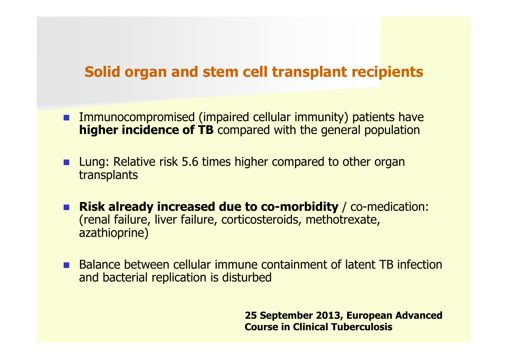### **Solid organ and stem cell transplant recipients**

- **EXT** Immunocompromised (impaired cellular immunity) patients have **higher incidence of TB** compared with the general population
- **Lung: Relative risk 5.6 times higher compared to other organ** transplants
- **Risk already increased due to co-morbidity** / co-medication: (renal failure, liver failure, corticosteroids, methotrexate, azathioprine)
- **Balance between cellular immune containment of latent TB infection** and bacterial replication is disturbed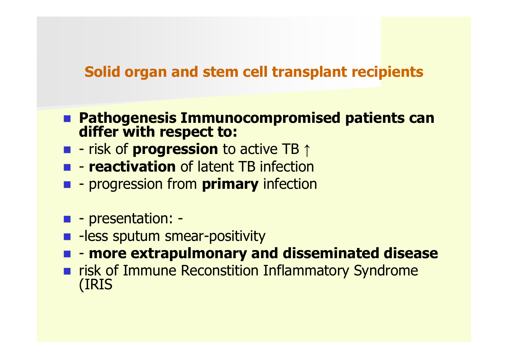### **Solid organ and stem cell transplant recipients**

- **Pathogenesis Immunocompromised patients can differ with respect to:**
- - risk of **progression** to active TB ↑
- **reactivation** of latent TB infection
- **progression from primary infection**
- $\blacksquare$  presentation: -
- **-** -less sputum smear-positivity
- **more extrapulmonary and disseminated disease**
- **Firms** risk of Immune Reconstition Inflammatory Syndrome (IRIS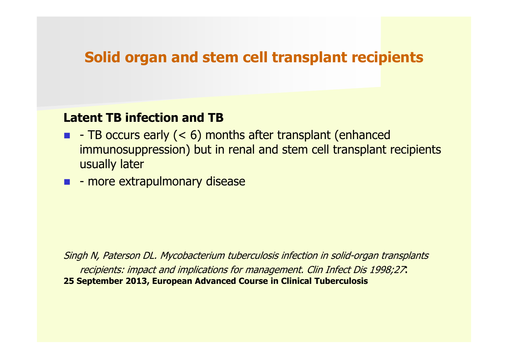### **Solid organ and stem cell transplant recipients**

#### **Latent TB infection and TB**

- $\blacksquare$  TB occurs early (< 6) months after transplant (enhanced immunosuppression) but in renal and stem cell transplant recipients usually later
- **E** more extrapulmonary disease

Singh N, Paterson DL. Mycobacterium tuberculosis infection in solid-organ transplants recipients: impact and implications for management. Clin Infect Dis 1998;27: **25 September 2013, European Advanced Course in Clinical Tuberculosis**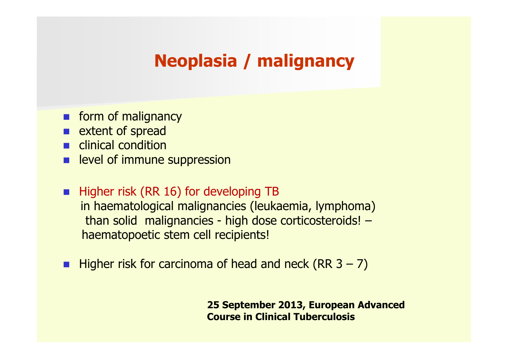# **Neoplasia / malignancy**

- **n** form of malignancy
- **Extent of spread**
- **E** clinical condition
- **Example veloger immune suppression**
- **Higher risk (RR 16) for developing TB** in haematological malignancies (leukaemia, lymphoma) than solid malignancies - high dose corticosteroids! – haematopoetic stem cell recipients!
- **Higher risk for carcinoma of head and neck (RR 3 7)**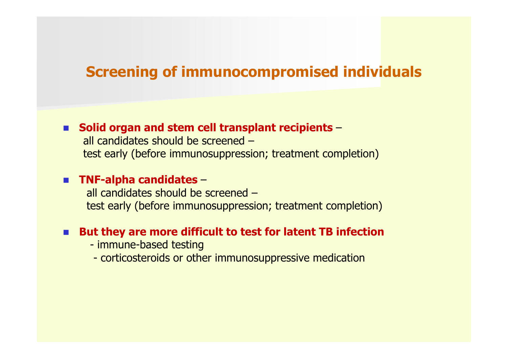### **Screening of immunocompromised individuals**

#### ■ Solid organ and stem cell transplant recipients –

all candidates should be screened –test early (before immunosuppression; treatment completion)

#### **TNF-alpha candidates**  –

all candidates should be screened –test early (before immunosuppression; treatment completion)

#### **But they are more difficult to test for latent TB infection**

- immune-based testing
- corticosteroids or other immunosuppressive medication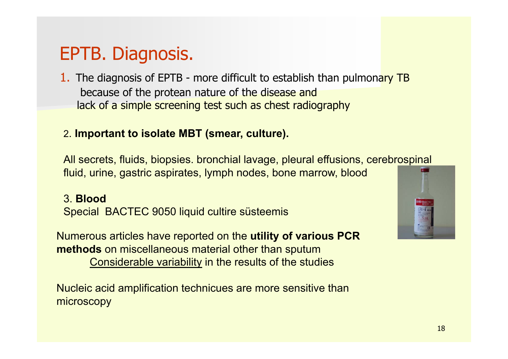# EPTB. Diagnosis.

1. The diagnosis of EPTB - more difficult to establish than pulmonary TB because of the protean nature of the disease and lack of a simple screening test such as chest radiography

#### 2. **Important to isolate MBT (smear, culture).**

All secrets, fluids, biopsies. bronchial lavage, pleural effusions, cerebrospinal fluid, urine, gastric aspirates, lymph nodes, bone marrow, blood

#### 3. **Blood**

Special BACTEC 9050 liquid cultire süsteemis

Numerous articles have reported on the **utility of various PCR methods** on miscellaneous material other than sputum Considerable variability in the results of the studies

Nucleic acid amplification technicues are more sensitive than microscopy

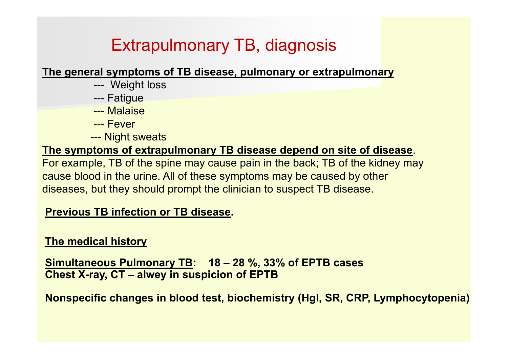# Extrapulmonary TB, diagnosis

**The general symptoms of TB disease, pulmonary or extrapulmonary**

- --- Weight loss
- --- Fatigue
- --- Malaise
- --- Fever
- --- Night sweats

### **The symptoms of extrapulmonary TB disease depend on site of disease**.

For example, TB of the spine may cause pain in the back; TB of the kidney may cause blood in the urine. All of these symptoms may be caused by other diseases, but they should prompt the clinician to suspect TB disease.

### **Previous TB infection or TB disease.**

### **The medical history**

**Simultaneous Pulmonary TB: 18 – 28 %, 33% of EPTB cases Chest X-ray, CT – alwey in suspicion of EPTB** 

**Nonspecific changes in blood test, biochemistry (Hgl, SR, CRP, Lymphocytopenia)**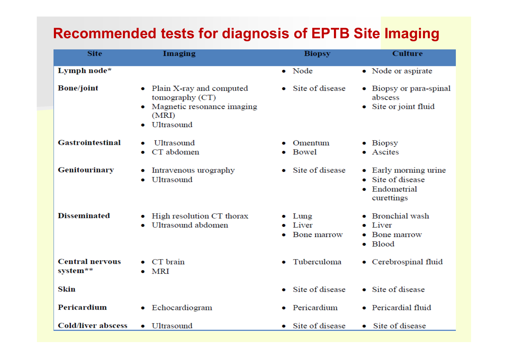## **Recommended tests for diagnosis of EPTB Site Imaging**

| <b>Site</b>                        | Imaging                                                                                                        | <b>Biopsy</b>                             | <b>Culture</b>                                                             |
|------------------------------------|----------------------------------------------------------------------------------------------------------------|-------------------------------------------|----------------------------------------------------------------------------|
| Lymph node*                        |                                                                                                                | • Node                                    | • Node or aspirate                                                         |
| <b>Bone/joint</b>                  | • Plain X-ray and computed<br>tomography (CT)<br>Magnetic resonance imaging<br>۰<br>(MRI)<br><b>Ultrasound</b> | Site of disease<br>$\bullet$              | • Biopsy or para-spinal<br>abscess<br>• Site or joint fluid                |
| <b>Gastrointestinal</b>            | Ultrasound<br>CT abdomen                                                                                       | Omentum<br>Bowel                          | $\bullet$ Biopsy<br>• Ascites                                              |
| <b>Genitourinary</b>               | Intravenous urography<br><b>Ultrasound</b><br>۰                                                                | Site of disease                           | • Early morning urine<br>Site of disease<br>۰<br>Endometrial<br>curettings |
| <b>Disseminated</b>                | High resolution CT thorax<br>۰<br>Ultrasound abdomen                                                           | Lung<br>$\bullet$<br>Liver<br>Bone marrow | Bronchial wash<br>$\bullet$ Liver<br>Bone marrow<br>• Blood                |
| <b>Central nervous</b><br>system** | CT brain<br>MRI                                                                                                | Tuberculoma<br>۰                          | • Cerebrospinal fluid                                                      |
| Skin                               |                                                                                                                | Site of disease<br>$\bullet$              | • Site of disease                                                          |
| <b>Pericardium</b>                 | • Echocardiogram                                                                                               | • Pericardium                             | • Pericardial fluid                                                        |
| <b>Cold/liver abscess</b>          | • Ultrasound                                                                                                   | • Site of disease                         | • Site of disease                                                          |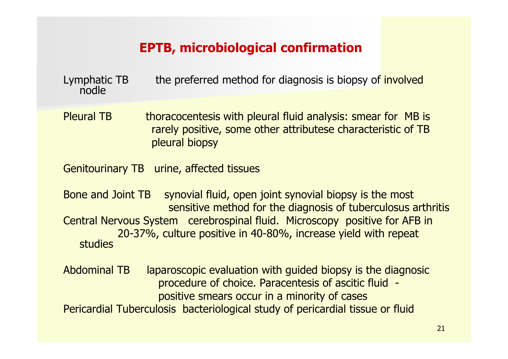### **EPTB, microbiological confirmation**

Lymphatic TB the preferred method for diagnosis is biopsy of involved nodle

Pleural TB thoracocentesis with pleural fluid analysis: smear for MB is rarely positive, some other attributese characteristic of TB pleural biopsy

Genitourinary TB urine, affected tissues

Bone and Joint TB synovial fluid, open joint synovial biopsy is the most sensitive method for the diagnosis of tuberculosus arthritis Central Nervous System cerebrospinal fluid. Microscopy positive for AFB in 20-37%, culture positive in 40-80%, increase yield with repeat studies

Abdominal TB laparoscopic evaluation with guided biopsy is the diagnosic procedure of choice. Paracentesis of ascitic fluid positive smears occur in a minority of cases

Pericardial Tuberculosis bacteriological study of pericardial tissue or fluid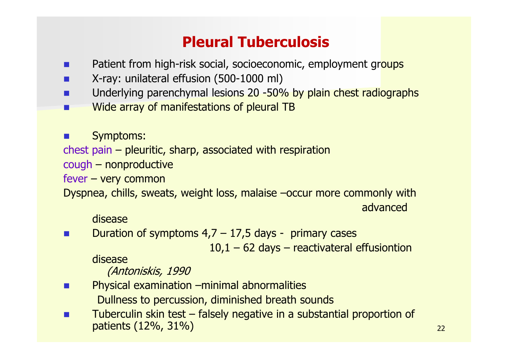# **Pleural Tuberculosis**

- $\blacksquare$ Patient from high-risk social, socioeconomic, employment groups
- F. X-ray: unilateral effusion (500-1000 ml)
- Ξ Underlying parenchymal lesions 20 -50% by plain chest radiographs
- П Wide array of manifestations of pleural TB
- × Symptoms:
- chest pain pleuritic, sharp, associated with respiration
- cough nonproductive

fever – very common

Dyspnea, chills, sweats, weight loss, malaise –occur more commonly with

advanced

#### disease

× Duration of symptoms  $4,7 - 17,5$  days - primary cases

 $10,1 - 62$  days – reactivateral effusiontion

disease

(Antoniskis, 1990

- × Physical examination –minimal abnormalities Dullness to percussion, diminished breath sounds
- П Tuberculin skin test – falsely negative in a substantial proportion of patients (12%, 31%)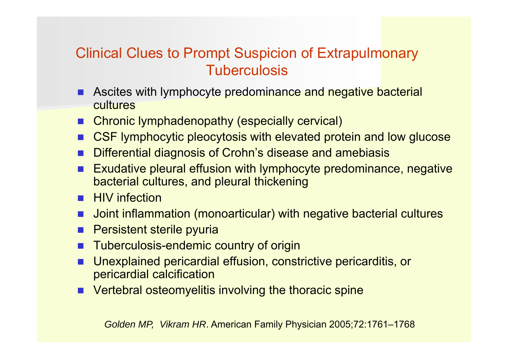## Clinical Clues to Prompt Suspicion of Extrapulmonary **Tuberculosis**

- **Ascites with lymphocyte predominance and negative bacterial** cultures
- **E** Chronic lymphadenopathy (especially cervical)
- **The Co** CSF lymphocytic pleocytosis with elevated protein and low glucose
- F. Differential diagnosis of Crohn's disease and amebiasis
- **The Co**  Exudative pleural effusion with lymphocyte predominance, negative bacterial cultures, and pleural thickening
- **HIV** infection
- **DE Joint inflammation (monoarticular) with negative bacterial cultures**
- П Persistent sterile pyuria
- **Tuberculosis-endemic country of origin**
- F. Unexplained pericardial effusion, constrictive pericarditis, or pericardial calcification
- **E** Vertebral osteomyelitis involving the thoracic spine